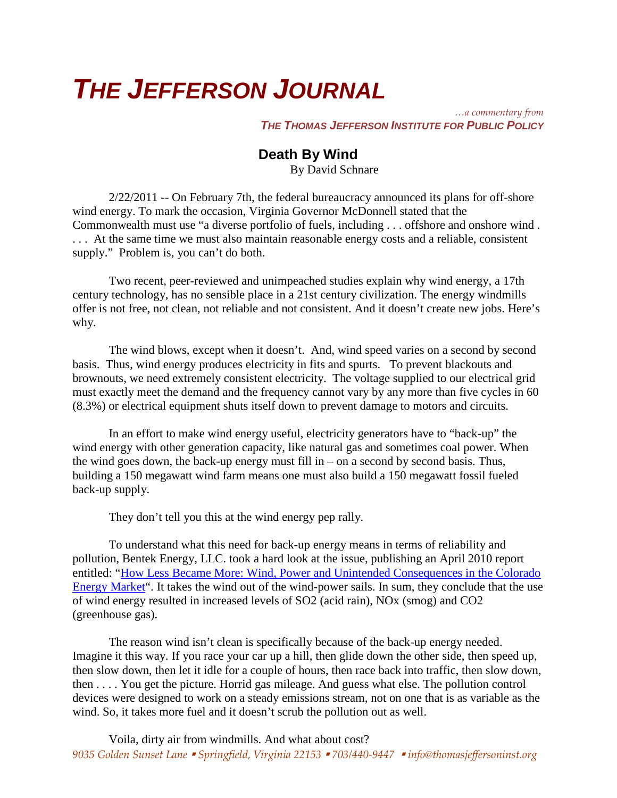## *THE JEFFERSON JOURNAL*

*…a commentary from THE THOMAS JEFFERSON INSTITUTE FOR PUBLIC POLICY*

## **Death By Wind**

By David Schnare

2/22/2011 -- On February 7th, the federal bureaucracy announced its plans for off-shore wind energy. To mark the occasion, Virginia Governor McDonnell stated that the Commonwealth must use "a diverse portfolio of fuels, including . . . offshore and onshore wind . . . . At the same time we must also maintain reasonable energy costs and a reliable, consistent supply." Problem is, you can't do both.

Two recent, peer-reviewed and unimpeached studies explain why wind energy, a 17th century technology, has no sensible place in a 21st century civilization. The energy windmills offer is not free, not clean, not reliable and not consistent. And it doesn't create new jobs. Here's why.

The wind blows, except when it doesn't. And, wind speed varies on a second by second basis. Thus, wind energy produces electricity in fits and spurts. To prevent blackouts and brownouts, we need extremely consistent electricity. The voltage supplied to our electrical grid must exactly meet the demand and the frequency cannot vary by any more than five cycles in 60 (8.3%) or electrical equipment shuts itself down to prevent damage to motors and circuits.

In an effort to make wind energy useful, electricity generators have to "back-up" the wind energy with other generation capacity, like natural gas and sometimes coal power. When the wind goes down, the back-up energy must fill in  $-$  on a second by second basis. Thus, building a 150 megawatt wind farm means one must also build a 150 megawatt fossil fueled back-up supply.

They don't tell you this at the wind energy pep rally.

To understand what this need for back-up energy means in terms of reliability and pollution, Bentek Energy, LLC. took a hard look at the issue, publishing an April 2010 report entitled: ["How Less Became More: Wind, Power and Unintended Consequences in the Colorado](http://www.wind-watch.org/documents/wp-content/uploads/BENTEK-How-Less-Became-More.pdf)  [Energy Market"](http://www.wind-watch.org/documents/wp-content/uploads/BENTEK-How-Less-Became-More.pdf). It takes the wind out of the wind-power sails. In sum, they conclude that the use of wind energy resulted in increased levels of SO2 (acid rain), NOx (smog) and CO2 (greenhouse gas).

The reason wind isn't clean is specifically because of the back-up energy needed. Imagine it this way. If you race your car up a hill, then glide down the other side, then speed up, then slow down, then let it idle for a couple of hours, then race back into traffic, then slow down, then . . . . You get the picture. Horrid gas mileage. And guess what else. The pollution control devices were designed to work on a steady emissions stream, not on one that is as variable as the wind. So, it takes more fuel and it doesn't scrub the pollution out as well.